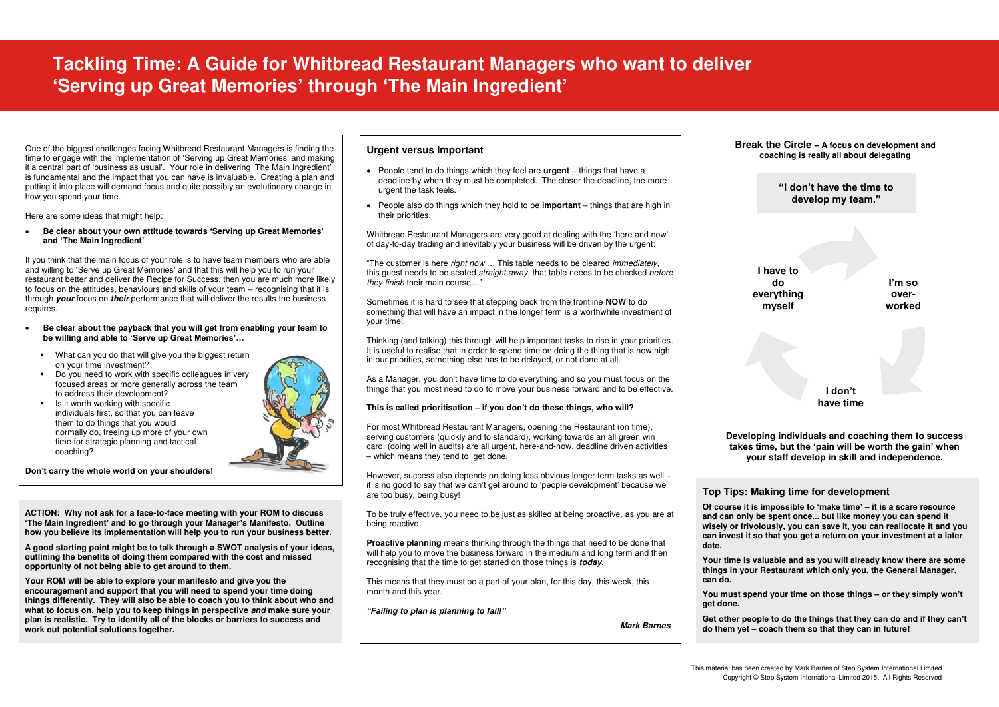# **Tackling Time: A Guide for Whitbread Restaurant Managers who want to deliver 'Serving up Great Memories' through 'The Main Ingredient'**

**Re clear about your own attitude towards 'Serving up Great Memories'** Whitbread Restaurant Managers are very go<br>and 'The Main Ingredient' **and 'The Main Ingredient'**

One of the biggest challenges facing Whitbread Restaurant Managers is finding the time to engage with the implementation of 'Serving up Great Memories' and making it a central part of 'business as usual'. Your role in delivering 'The Main Ingredient' is fundamental and the impact that you can have is invaluable. Creating a plan and putting it into place will demand focus and quite possibly an evolutionary change in how you spend your time.

Here are some ideas that might help:

If you think that the main focus of your role is to have team members who are able and willing to 'Serve up Great Memories' and that this will help you to run your restaurant better and deliver the Recipe for Success, then you are much more likely to focus on the attitudes, behaviours and skills of your team – recognising that it is through *your* focus on *their* performance that will deliver the results the business requires.

- **Be clear about the payback that you will get from enabling your team to be willing and able to 'Serve up Great Memories'…**
	- What can you do that will give you the biggest return on your time investment?
	- Do you need to work with specific colleagues in very focused areas or more generally across the team to address their development?
	- Is it worth working with specific individuals first, so that you can leave them to do things that you would normally do, freeing up more of your own time for strategic planning and tactical coaching?



**Don't carry the whole world on your shoulders!** 

**ACTION: Why not ask for a face-to-face meeting with your ROM to discuss 'The Main Ingredient' and to go through your Manager's Manifesto. Outline how you believe its implementation will help you to run your business better.** 

**A good starting point might be to talk through a SWOT analysis of your ideas, outlining the benefits of doing them compared with the cost and missed opportunity of not being able to get around to them.** 

**Your ROM will be able to explore your manifesto and give you the encouragement and support that you will need to spend your time doing things differently. They will also be able to coach you to think about who and what to focus on, help you to keep things in perspective** *and* **make sure your plan is realistic. Try to identify all of the blocks or barriers to success and work out potential solutions together.** 

#### **Urgent versus Important**

- People tend to do things which they feel are **urgent** things that have a deadline by when they must be completed. The closer the deadline, the more urgent the task feels.
- are some ideas that might help:<br> **A Guide For A Guide For Whenever and Some in the some ideas** that are high in their priorities. their priorities.

Whitbread Restaurant Managers are very good at dealing with the 'here and now' of day-to-day trading and inevitably your business will be driven by the urgent:

"The customer is here *right now* … This table needs to be cleared *immediately*, this guest needs to be seated *straight away*, that table needs to be checked *before they finish* their main course…"

Sometimes it is hard to see that stepping back from the frontline **NOW** to do something that will have an impact in the longer term is a worthwhile investment of your time.

Thinking (and talking) this through will help important tasks to rise in your priorities. It is useful to realise that in order to spend time on doing the thing that is now high in our priorities, something else has to be delayed, or not done at all.

As a Manager, you don't have time to do everything and so you must focus on the things that you most need to do to move your business forward and to be effective.

#### **This is called prioritisation – if you don't do these things, who will?**

For most Whitbread Restaurant Managers, opening the Restaurant (on time), serving customers (quickly and to standard), working towards an all green win card, (doing well in audits) are all urgent, here-and-now, deadline driven activities – which means they tend to get done.

However, success also depends on doing less obvious longer term tasks as well – it is no good to say that we can't get around to 'people development' because we are too busy, being busy!

To be truly effective, you need to be just as skilled at being proactive, as you are at being reactive.

**Proactive planning** means thinking through the things that need to be done that will help you to move the business forward in the medium and long term and then recognising that the time to get started on those things is *today***.** 

This means that they must be a part of your plan, for this day, this week, this month and this year.

*"Failing to plan is planning to fail!"* 

*Mark Barnes* 

### **Top Tips: Making time for development**

**Of course it is impossible to 'make time' – it is a scare resource and can only be spent once... but like money you can spend it wisely or frivolously, you can save it, you can reallocate it and you can invest it so that you get a return on your investment at a later date.** 

**Your time is valuable and as you will already know there are some things in your Restaurant which only you, the General Manager,** 

**can do.** 

**You must spend your time on those things – or they simply won't** 

**get done.** 

**Get other people to do the things that they can do and if they can't do them yet – coach them so that they can in future!** 

**Break the Circle – A focus on development and coaching is really all about delegating** 

## **"I don't have the time to develop my team."**

**Developing individuals and coaching them to success takes time, but the 'pain will be worth the gain' when your staff develop in skill and independence.** 

**I'm so overworked** 

**I don't have time** 

**I have to do everything myself**